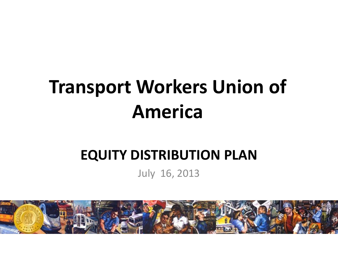# **Transport Workers Union of America**

#### **EQUITY DISTRIBUTION PLAN**

July 16, 2013

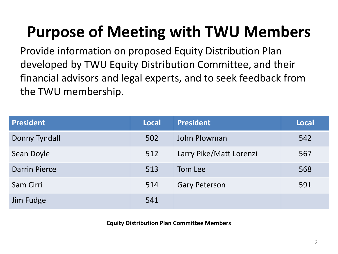#### **Purpose of Meeting with TWU Members**

Provide information on proposed Equity Distribution Plan developed by TWU Equity Distribution Committee, and their financial advisors and legal experts, and to seek feedback from the TWU membership.

| <b>President</b>     | <b>Local</b> | <b>President</b>        | <b>Local</b> |
|----------------------|--------------|-------------------------|--------------|
| Donny Tyndall        | 502          | John Plowman            | 542          |
| Sean Doyle           | 512          | Larry Pike/Matt Lorenzi | 567          |
| <b>Darrin Pierce</b> | 513          | Tom Lee                 | 568          |
| Sam Cirri            | 514          | <b>Gary Peterson</b>    | 591          |
| Jim Fudge            | 541          |                         |              |

**Equity Distribution Plan Committee Members**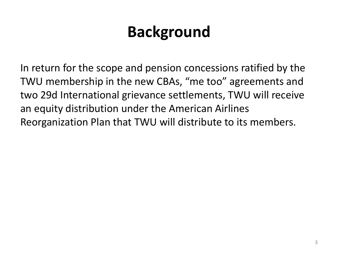#### **Background**

In return for the scope and pension concessions ratified by the TWU membership in the new CBAs, "me too" agreements and two 29d International grievance settlements, TWU will receive an equity distribution under the American Airlines Reorganization Plan that TWU will distribute to its members.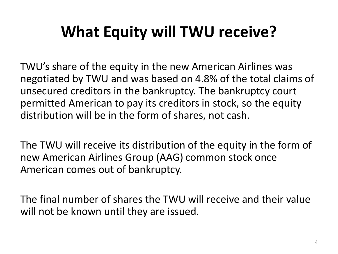## **What Equity will TWU receive?**

TWU's share of the equity in the new American Airlines was negotiated by TWU and was based on 4.8% of the total claims of unsecured creditors in the bankruptcy. The bankruptcy court permitted American to pay its creditors in stock, so the equity distribution will be in the form of shares, not cash.

The TWU will receive its distribution of the equity in the form of new American Airlines Group (AAG) common stock once American comes out of bankruptcy.

The final number of shares the TWU will receive and their value will not be known until they are issued.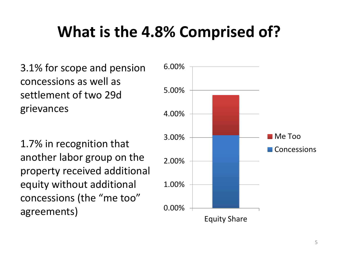#### **What is the 4.8% Comprised of?**

3.1% for scope and pension concessions as well as settlement of two 29d grievances

1.7% in recognition that another labor group on the property received additional equity without additional concessions (the "me too" agreements)

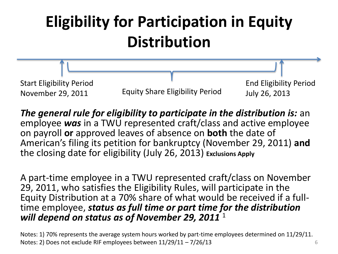

*The general rule for eligibility to participate in the distribution is:* an employee *was* in a TWU represented craft/class and active employee on payroll **or** approved leaves of absence on **both** the date of American's filing its petition for bankruptcy (November 29, 2011) **and** the closing date for eligibility (July 26, 2013) **Exclusions Apply** 

A part-time employee in a TWU represented craft/class on November 29, 2011, who satisfies the Eligibility Rules, will participate in the Equity Distribution at a 70% share of what would be received if a fulltime employee, *status as full time or part time for the distribution will depend on status as of November 29, 2011* <sup>1</sup>

Notes: 1) 70% represents the average system hours worked by part-time employees determined on 11/29/11. Notes: 2) Does not exclude RIF employees between  $11/29/11 - 7/26/13$  6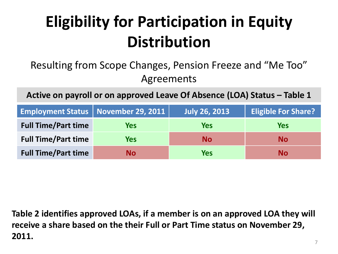#### Resulting from Scope Changes, Pension Freeze and "Me Too" Agreements

Active on payroll or on approved Leave Of Absence (LOA) Status - Table 1

|                            | Employment Status   November 29, 2011 | <b>July 26, 2013</b> | <b>Eligible For Share?</b> |
|----------------------------|---------------------------------------|----------------------|----------------------------|
| <b>Full Time/Part time</b> | Yes                                   | <b>Yes</b>           | Yes                        |
| <b>Full Time/Part time</b> | Yes                                   | <b>No</b>            | No.                        |
| <b>Full Time/Part time</b> | <b>No</b>                             | <b>Yes</b>           | No                         |

**Table 2 identifies approved LOAs, if a member is on an approved LOA they will receive a share based on the their Full or Part Time status on November 29, 2011.**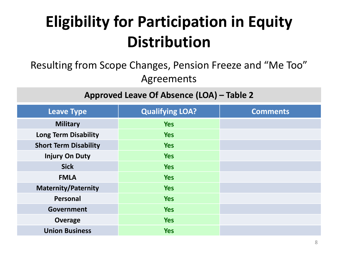#### Resulting from Scope Changes, Pension Freeze and "Me Too" Agreements

**Approved Leave Of Absence (LOA) – Table 2** 

| <b>Leave Type</b>            | <b>Qualifying LOA?</b> | <b>Comments</b> |
|------------------------------|------------------------|-----------------|
| <b>Military</b>              | <b>Yes</b>             |                 |
| <b>Long Term Disability</b>  | <b>Yes</b>             |                 |
| <b>Short Term Disability</b> | <b>Yes</b>             |                 |
| <b>Injury On Duty</b>        | <b>Yes</b>             |                 |
| <b>Sick</b>                  | <b>Yes</b>             |                 |
| <b>FMLA</b>                  | <b>Yes</b>             |                 |
| <b>Maternity/Paternity</b>   | <b>Yes</b>             |                 |
| Personal                     | <b>Yes</b>             |                 |
| <b>Government</b>            | <b>Yes</b>             |                 |
| <b>Overage</b>               | <b>Yes</b>             |                 |
| <b>Union Business</b>        | <b>Yes</b>             |                 |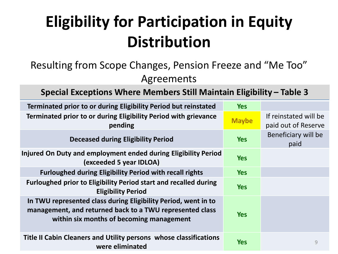#### Resulting from Scope Changes, Pension Freeze and "Me Too" Agreements

**Special Exceptions Where Members Still Maintain Eligibility – Table 3** 

| Terminated prior to or during Eligibility Period but reinstated                                                                                                        | <b>Yes</b>   |                                              |
|------------------------------------------------------------------------------------------------------------------------------------------------------------------------|--------------|----------------------------------------------|
| Terminated prior to or during Eligibility Period with grievance<br>pending                                                                                             | <b>Maybe</b> | If reinstated will be<br>paid out of Reserve |
| <b>Deceased during Eligibility Period</b>                                                                                                                              | <b>Yes</b>   | Beneficiary will be<br>paid                  |
| Injured On Duty and employment ended during Eligibility Period<br>(exceeded 5 year IDLOA)                                                                              | <b>Yes</b>   |                                              |
| <b>Furloughed during Eligibility Period with recall rights</b>                                                                                                         | <b>Yes</b>   |                                              |
| <b>Furloughed prior to Eligibility Period start and recalled during</b><br><b>Eligibility Period</b>                                                                   | <b>Yes</b>   |                                              |
| In TWU represented class during Eligibility Period, went in to<br>management, and returned back to a TWU represented class<br>within six months of becoming management | <b>Yes</b>   |                                              |
| Title II Cabin Cleaners and Utility persons whose classifications<br>were eliminated                                                                                   | <b>Yes</b>   | 9                                            |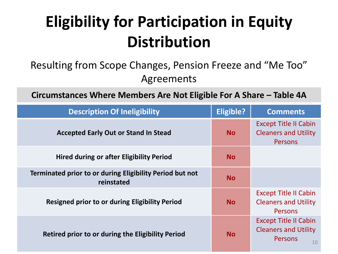#### Resulting from Scope Changes, Pension Freeze and "Me Too" Agreements

**Circumstances Where Members Are Not Eligible For A Share - Table 4A** 

| <b>Description Of Ineligibility</b>                                    | Eligible? | <b>Comments</b>                                                                     |
|------------------------------------------------------------------------|-----------|-------------------------------------------------------------------------------------|
| <b>Accepted Early Out or Stand In Stead</b>                            | <b>No</b> | <b>Except Title II Cabin</b><br><b>Cleaners and Utility</b><br><b>Persons</b>       |
| <b>Hired during or after Eligibility Period</b>                        | <b>No</b> |                                                                                     |
| Terminated prior to or during Eligibility Period but not<br>reinstated | <b>No</b> |                                                                                     |
| <b>Resigned prior to or during Eligibility Period</b>                  | <b>No</b> | <b>Except Title II Cabin</b><br><b>Cleaners and Utility</b><br><b>Persons</b>       |
| Retired prior to or during the Eligibility Period                      | <b>No</b> | <b>Except Title II Cabin</b><br><b>Cleaners and Utility</b><br><b>Persons</b><br>10 |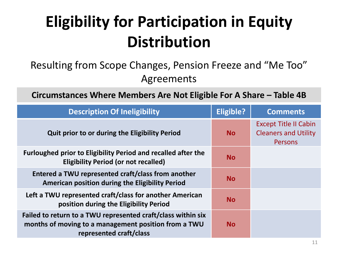#### Resulting from Scope Changes, Pension Freeze and "Me Too" Agreements

**Circumstances Where Members Are Not Eligible For A Share - Table 4B** 

| <b>Description Of Ineligibility</b>                                                                                                             | Eligible? | <b>Comments</b>                                                               |
|-------------------------------------------------------------------------------------------------------------------------------------------------|-----------|-------------------------------------------------------------------------------|
| Quit prior to or during the Eligibility Period                                                                                                  | <b>No</b> | <b>Except Title II Cabin</b><br><b>Cleaners and Utility</b><br><b>Persons</b> |
| <b>Furloughed prior to Eligibility Period and recalled after the</b><br><b>Eligibility Period (or not recalled)</b>                             | <b>No</b> |                                                                               |
| Entered a TWU represented craft/class from another<br>American position during the Eligibility Period                                           | <b>No</b> |                                                                               |
| Left a TWU represented craft/class for another American<br>position during the Eligibility Period                                               | <b>No</b> |                                                                               |
| Failed to return to a TWU represented craft/class within six<br>months of moving to a management position from a TWU<br>represented craft/class | <b>No</b> |                                                                               |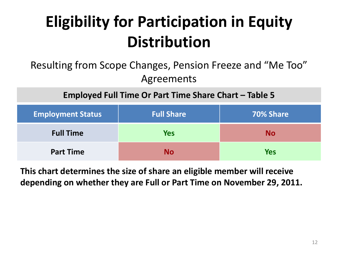#### Resulting from Scope Changes, Pension Freeze and "Me Too" Agreements

**Employed Full Time Or Part Time Share Chart – Table 5** 

| <b>Employment Status</b> | <b>Full Share</b> | 70% Share  |
|--------------------------|-------------------|------------|
| <b>Full Time</b>         | <b>Yes</b>        | <b>No</b>  |
| <b>Part Time</b>         | Nο                | <b>Yes</b> |

**This chart determines the size of share an eligible member will receive depending on whether they are Full or Part Time on November 29, 2011.**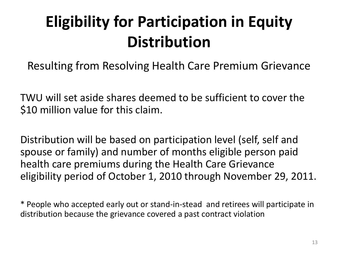Resulting from Resolving Health Care Premium Grievance

TWU will set aside shares deemed to be sufficient to cover the \$10 million value for this claim.

Distribution will be based on participation level (self, self and spouse or family) and number of months eligible person paid health care premiums during the Health Care Grievance eligibility period of October 1, 2010 through November 29, 2011.

\* People who accepted early out or stand-in-stead and retirees will participate in distribution because the grievance covered a past contract violation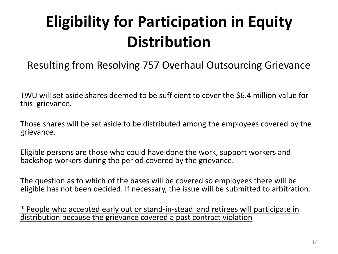#### Resulting from Resolving 757 Overhaul Outsourcing Grievance

TWU will set aside shares deemed to be sufficient to cover the \$6.4 million value for this grievance.

Those shares will be set aside to be distributed among the employees covered by the grievance.

Eligible persons are those who could have done the work, support workers and backshop workers during the period covered by the grievance.

The question as to which of the bases will be covered so employees there will be eligible has not been decided. If necessary, the issue will be submitted to arbitration.

\* People who accepted early out or stand-in-stead and retirees will participate in distribution because the grievance covered a past contract violation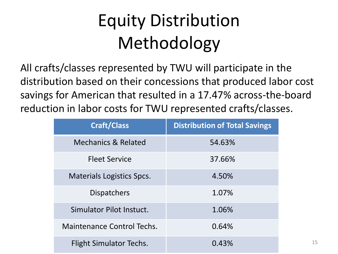# Equity Distribution Methodology

All crafts/classes represented by TWU will participate in the distribution based on their concessions that produced labor cost savings for American that resulted in a 17.47% across-the-board reduction in labor costs for TWU represented crafts/classes.

| <b>Craft/Class</b>               | <b>Distribution of Total Savings</b> |
|----------------------------------|--------------------------------------|
| <b>Mechanics &amp; Related</b>   | 54.63%                               |
| <b>Fleet Service</b>             | 37.66%                               |
| <b>Materials Logistics Spcs.</b> | 4.50%                                |
| <b>Dispatchers</b>               | 1.07%                                |
| Simulator Pilot Instuct.         | 1.06%                                |
| Maintenance Control Techs.       | 0.64%                                |
| Flight Simulator Techs.          | 0.43%                                |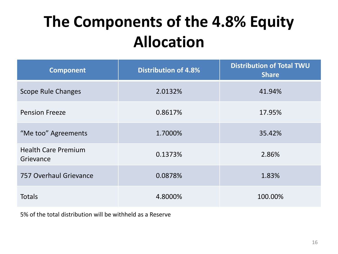#### **The Components of the 4.8% Equity Allocation**

| <b>Component</b>                        | <b>Distribution of 4.8%</b> | <b>Distribution of Total TWU</b><br><b>Share</b> |
|-----------------------------------------|-----------------------------|--------------------------------------------------|
| <b>Scope Rule Changes</b>               | 2.0132%                     | 41.94%                                           |
| <b>Pension Freeze</b>                   | 0.8617%                     | 17.95%                                           |
| "Me too" Agreements                     | 1.7000%                     | 35.42%                                           |
| <b>Health Care Premium</b><br>Grievance | 0.1373%                     | 2.86%                                            |
| 757 Overhaul Grievance                  | 0.0878%                     | 1.83%                                            |
| <b>Totals</b>                           | 4.8000%                     | 100.00%                                          |

5% of the total distribution will be withheld as a Reserve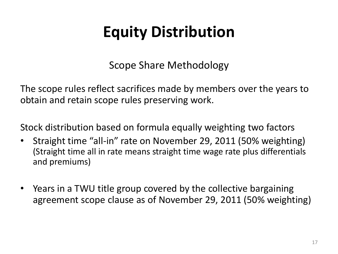Scope Share Methodology

The scope rules reflect sacrifices made by members over the years to obtain and retain scope rules preserving work.

Stock distribution based on formula equally weighting two factors

- Straight time "all-in" rate on November 29, 2011 (50% weighting) (Straight time all in rate means straight time wage rate plus differentials and premiums)
- Years in a TWU title group covered by the collective bargaining agreement scope clause as of November 29, 2011 (50% weighting)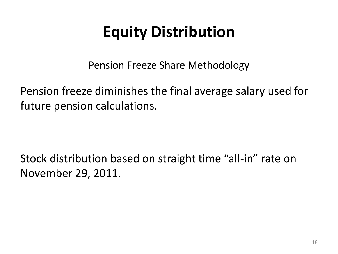Pension Freeze Share Methodology

Pension freeze diminishes the final average salary used for future pension calculations.

Stock distribution based on straight time "all-in" rate on November 29, 2011.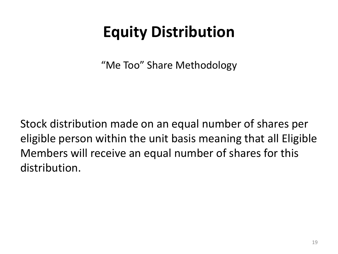"Me Too" Share Methodology

Stock distribution made on an equal number of shares per eligible person within the unit basis meaning that all Eligible Members will receive an equal number of shares for this distribution.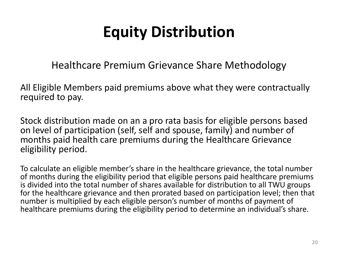Healthcare Premium Grievance Share Methodology

All Eligible Members paid premiums above what they were contractually required to pay.

Stock distribution made on an a pro rata basis for eligible persons based on level of participation (self, self and spouse, family) and number of months paid health care premiums during the Healthcare Grievance eligibility period.

To calculate an eligible member's share in the healthcare grievance, the total number of months during the eligibility period that eligible persons paid healthcare premiums is divided into the total number of shares available for distribution to all TWU groups for the healthcare grievance and then prorated based on participation level; then that number is multiplied by each eligible person's number of months of payment of healthcare premiums during the eligibility period to determine an individual's share.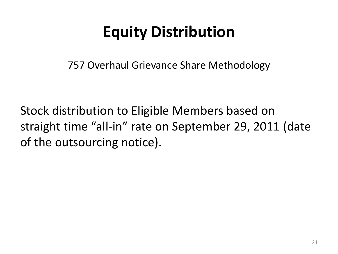757 Overhaul Grievance Share Methodology

Stock distribution to Eligible Members based on straight time "all-in" rate on September 29, 2011 (date of the outsourcing notice).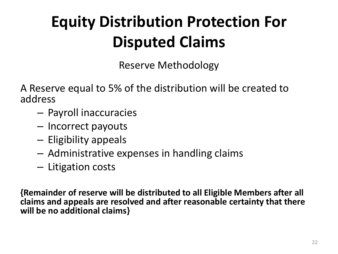## **Equity Distribution Protection For Disputed Claims**

Reserve Methodology

A Reserve equal to 5% of the distribution will be created to address

- Payroll inaccuracies
- Incorrect payouts
- Eligibility appeals
- Administrative expenses in handling claims
- Litigation costs

**{Remainder of reserve will be distributed to all Eligible Members after all claims and appeals are resolved and after reasonable certainty that there will be no additional claims}**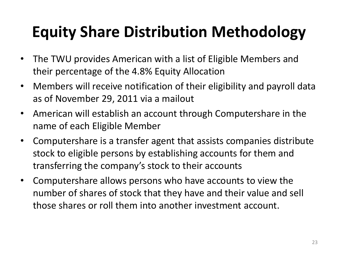## **Equity Share Distribution Methodology**

- The TWU provides American with a list of Eligible Members and their percentage of the 4.8% Equity Allocation
- Members will receive notification of their eligibility and payroll data as of November 29, 2011 via a mailout
- American will establish an account through Computershare in the name of each Eligible Member
- Computershare is a transfer agent that assists companies distribute stock to eligible persons by establishing accounts for them and transferring the company's stock to their accounts
- Computershare allows persons who have accounts to view the number of shares of stock that they have and their value and sell those shares or roll them into another investment account.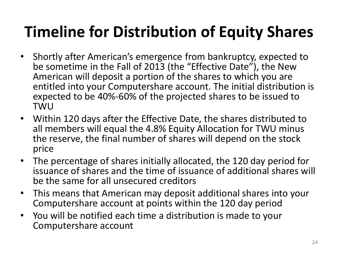## **Timeline for Distribution of Equity Shares**

- Shortly after American's emergence from bankruptcy, expected to be sometime in the Fall of 2013 (the "Effective Date"), the New American will deposit a portion of the shares to which you are entitled into your Computershare account. The initial distribution is expected to be 40%-60% of the projected shares to be issued to TWU
- Within 120 days after the Effective Date, the shares distributed to all members will equal the 4.8% Equity Allocation for TWU minus the reserve, the final number of shares will depend on the stock price
- The percentage of shares initially allocated, the 120 day period for issuance of shares and the time of issuance of additional shares will be the same for all unsecured creditors
- This means that American may deposit additional shares into your Computershare account at points within the 120 day period
- You will be notified each time a distribution is made to your Computershare account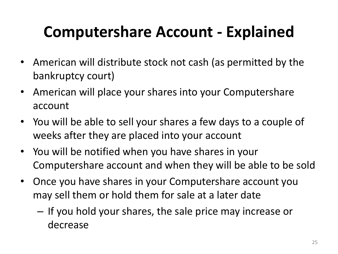#### **Computershare Account - Explained**

- American will distribute stock not cash (as permitted by the bankruptcy court)
- American will place your shares into your Computershare account
- You will be able to sell your shares a few days to a couple of weeks after they are placed into your account
- You will be notified when you have shares in your Computershare account and when they will be able to be sold
- Once you have shares in your Computershare account you may sell them or hold them for sale at a later date
	- If you hold your shares, the sale price may increase or decrease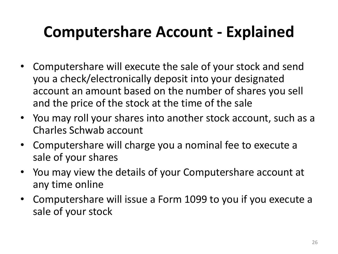#### **Computershare Account - Explained**

- Computershare will execute the sale of your stock and send you a check/electronically deposit into your designated account an amount based on the number of shares you sell and the price of the stock at the time of the sale
- You may roll your shares into another stock account, such as a Charles Schwab account
- Computershare will charge you a nominal fee to execute a sale of your shares
- You may view the details of your Computershare account at any time online
- Computershare will issue a Form 1099 to you if you execute a sale of your stock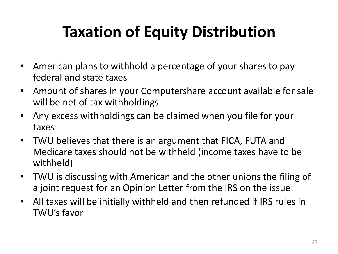## **Taxation of Equity Distribution**

- American plans to withhold a percentage of your shares to pay federal and state taxes
- Amount of shares in your Computershare account available for sale will be net of tax withholdings
- Any excess withholdings can be claimed when you file for your taxes
- TWU believes that there is an argument that FICA, FUTA and Medicare taxes should not be withheld (income taxes have to be withheld)
- TWU is discussing with American and the other unions the filing of a joint request for an Opinion Letter from the IRS on the issue
- All taxes will be initially withheld and then refunded if IRS rules in TWU's favor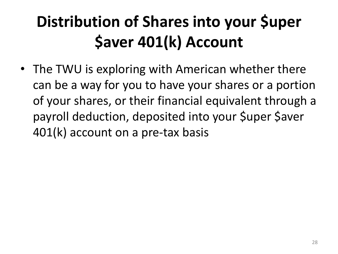# **Distribution of Shares into your \$uper \$aver 401(k) Account**

• The TWU is exploring with American whether there can be a way for you to have your shares or a portion of your shares, or their financial equivalent through a payroll deduction, deposited into your \$uper \$aver 401(k) account on a pre-tax basis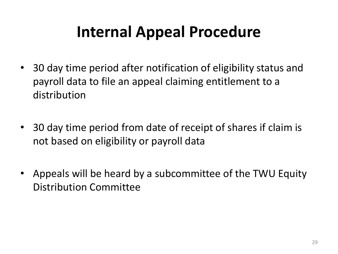#### **Internal Appeal Procedure**

- 30 day time period after notification of eligibility status and payroll data to file an appeal claiming entitlement to a distribution
- 30 day time period from date of receipt of shares if claim is not based on eligibility or payroll data
- Appeals will be heard by a subcommittee of the TWU Equity Distribution Committee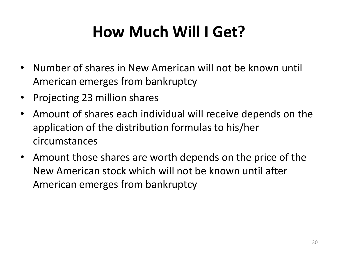### **How Much Will I Get?**

- Number of shares in New American will not be known until American emerges from bankruptcy
- Projecting 23 million shares
- Amount of shares each individual will receive depends on the application of the distribution formulas to his/her circumstances
- Amount those shares are worth depends on the price of the New American stock which will not be known until after American emerges from bankruptcy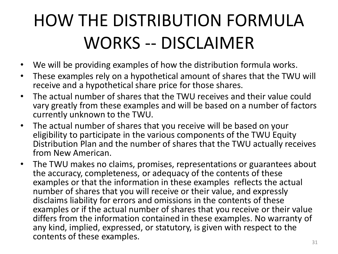# HOW THE DISTRIBUTION FORMULA WORKS -- DISCLAIMER

- We will be providing examples of how the distribution formula works.
- These examples rely on a hypothetical amount of shares that the TWU will receive and a hypothetical share price for those shares.
- The actual number of shares that the TWU receives and their value could vary greatly from these examples and will be based on a number of factors currently unknown to the TWU.
- The actual number of shares that you receive will be based on your eligibility to participate in the various components of the TWU Equity Distribution Plan and the number of shares that the TWU actually receives from New American.
- The TWU makes no claims, promises, representations or guarantees about the accuracy, completeness, or adequacy of the contents of these examples or that the information in these examples reflects the actual number of shares that you will receive or their value, and expressly disclaims liability for errors and omissions in the contents of these examples or if the actual number of shares that you receive or their value differs from the information contained in these examples. No warranty of any kind, implied, expressed, or statutory, is given with respect to the contents of these examples.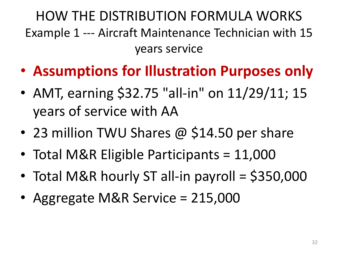HOW THE DISTRIBUTION FORMULA WORKS Example 1 --- Aircraft Maintenance Technician with 15 years service

- **Assumptions for Illustration Purposes only**
- AMT, earning \$32.75 "all-in" on 11/29/11; 15 years of service with AA
- 23 million TWU Shares @ \$14.50 per share
- Total M&R Eligible Participants = 11,000
- Total M&R hourly ST all-in payroll = \$350,000
- Aggregate M&R Service = 215,000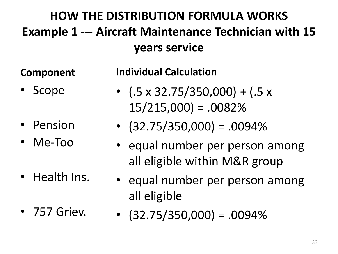#### **HOW THE DISTRIBUTION FORMULA WORKS Example 1 --- Aircraft Maintenance Technician with 15 years service**

#### **Component**

- 
- **Scope**
- Pension
- Me-Too
- Health Ins.
- 757 Griev.

**Individual Calculation**

- $(.5 \times 32.75/350,000) + (.5 \times 10^{-10}$  $15/215,000$  = .0082%
- $\cdot$  (32.75/350,000) = .0094%
- equal number per person among all eligible within M&R group
- equal number per person among all eligible
- $\bullet$  (32.75/350,000) = .0094%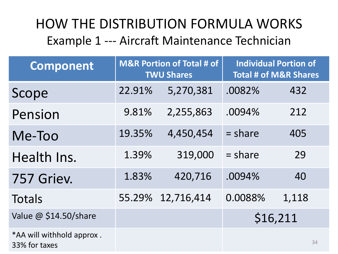#### HOW THE DISTRIBUTION FORMULA WORKS Example 1 --- Aircraft Maintenance Technician

| <b>Component</b>                           | <b>M&amp;R Portion of Total # of</b><br><b>TWU Shares</b> |            | <b>Individual Portion of</b><br><b>Total # of M&amp;R Shares</b> |       |
|--------------------------------------------|-----------------------------------------------------------|------------|------------------------------------------------------------------|-------|
| Scope                                      | 22.91%                                                    | 5,270,381  | .0082%                                                           | 432   |
| Pension                                    | 9.81%                                                     | 2,255,863  | .0094%                                                           | 212   |
| Me-Too                                     | 19.35%                                                    | 4,450,454  | $=$ share                                                        | 405   |
| Health Ins.                                | 1.39%                                                     | 319,000    | $=$ share                                                        | 29    |
| 757 Griev.                                 | 1.83%                                                     | 420,716    | .0094%                                                           | 40    |
| <b>Totals</b>                              | 55.29%                                                    | 12,716,414 | 0.0088%                                                          | 1,118 |
| Value @ \$14.50/share                      |                                                           |            | \$16,211                                                         |       |
| *AA will withhold approx.<br>33% for taxes |                                                           |            |                                                                  | 34    |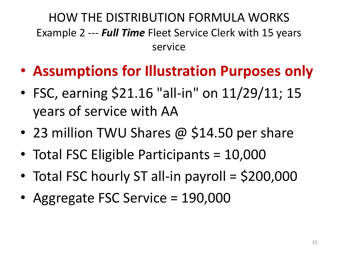HOW THE DISTRIBUTION FORMULA WORKS Example 2 --- *Full Time* Fleet Service Clerk with 15 years service

- **Assumptions for Illustration Purposes only**
- FSC, earning \$21.16 "all-in" on 11/29/11; 15 years of service with AA
- 23 million TWU Shares @ \$14.50 per share
- Total FSC Eligible Participants = 10,000
- Total FSC hourly ST all-in payroll = \$200,000
- Aggregate FSC Service = 190,000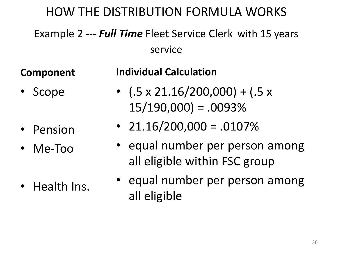#### HOW THE DISTRIBUTION FORMULA WORKS

Example 2 --- *Full Time* Fleet Service Clerk with 15 years service

**Component**

#### **Individual Calculation**

- Scope
- Pension
- Me-Too
- Health Ins.
- $(.5 \times 21.16/200,000) + (.5 \times 10^{-10}$  $15/190,000$  = .0093%
- $21.16/200,000 = .0107%$
- equal number per person among all eligible within FSC group
- equal number per person among all eligible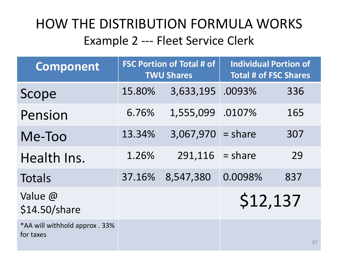#### HOW THE DISTRIBUTION FORMULA WORKS Example 2 --- Fleet Service Clerk

| <b>Component</b>                            | <b>FSC Portion of Total # of</b><br><b>TWU Shares</b> |                     | <b>Individual Portion of</b><br><b>Total # of FSC Shares</b> |     |
|---------------------------------------------|-------------------------------------------------------|---------------------|--------------------------------------------------------------|-----|
| Scope                                       | 15.80%                                                | 3,633,195           | .0093%                                                       | 336 |
| Pension                                     | 6.76%                                                 | 1,555,099 .0107%    |                                                              | 165 |
| Me-Too                                      | 13.34%                                                | $3,067,970 = share$ |                                                              | 307 |
| Health Ins.                                 | 1.26%                                                 | 291,116             | $=$ share                                                    | 29  |
| <b>Totals</b>                               | 37.16%                                                | 8,547,380           | 0.0098%                                                      | 837 |
| Value @<br>\$14.50/share                    |                                                       |                     | \$12,137                                                     |     |
| *AA will withhold approx . 33%<br>for taxes |                                                       |                     |                                                              | 37  |